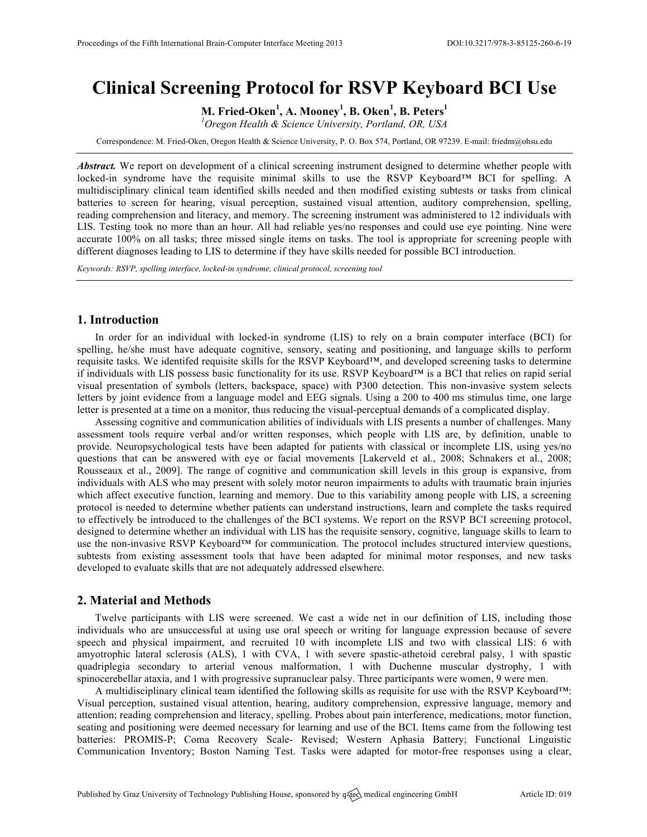# **Clinical Screening Protocol for RSVP Keyboard BCI Use**

**M. Fried-Oken<sup>1</sup> , A. Mooney<sup>1</sup> , B. Oken<sup>1</sup> , B. Peters<sup>1</sup>**

*1 Oregon Health & Science University, Portland, OR, USA*

Correspondence: M. Fried-Oken, Oregon Health & Science University, P. O. Box 574, Portland, OR 97239. E-mail: friedm@ohsu.edu

*Abstract.* We report on development of a clinical screening instrument designed to determine whether people with locked-in syndrome have the requisite minimal skills to use the RSVP Keyboard™ BCI for spelling. A multidisciplinary clinical team identified skills needed and then modified existing subtests or tasks from clinical batteries to screen for hearing, visual perception, sustained visual attention, auditory comprehension, spelling, reading comprehension and literacy, and memory. The screening instrument was administered to 12 individuals with LIS. Testing took no more than an hour. All had reliable yes/no responses and could use eye pointing. Nine were accurate 100% on all tasks; three missed single items on tasks. The tool is appropriate for screening people with different diagnoses leading to LIS to determine if they have skills needed for possible BCI introduction.

*Keywords: RSVP, spelling interface, locked-in syndrome, clinical protocol, screening tool*

### **1. Introduction**

In order for an individual with locked-in syndrome (LIS) to rely on a brain computer interface (BCI) for spelling, he/she must have adequate cognitive, sensory, seating and positioning, and language skills to perform requisite tasks. We identifed requisite skills for the RSVP Keyboard™, and developed screening tasks to determine if individuals with LIS possess basic functionality for its use. RSVP Keyboard™ is a BCI that relies on rapid serial visual presentation of symbols (letters, backspace, space) with P300 detection. This non-invasive system selects letters by joint evidence from a language model and EEG signals. Using a 200 to 400 ms stimulus time, one large letter is presented at a time on a monitor, thus reducing the visual-perceptual demands of a complicated display.

Assessing cognitive and communication abilities of individuals with LIS presents a number of challenges. Many assessment tools require verbal and/or written responses, which people with LIS are, by definition, unable to provide. Neuropsychological tests have been adapted for patients with classical or incomplete LIS, using yes/no questions that can be answered with eye or facial movements [Lakerveld et al., 2008; Schnakers et al., 2008; Rousseaux et al., 2009]. The range of cognitive and communication skill levels in this group is expansive, from individuals with ALS who may present with solely motor neuron impairments to adults with traumatic brain injuries which affect executive function, learning and memory. Due to this variability among people with LIS, a screening protocol is needed to determine whether patients can understand instructions, learn and complete the tasks required to effectively be introduced to the challenges of the BCI systems. We report on the RSVP BCI screening protocol, designed to determine whether an individual with LIS has the requisite sensory, cognitive, language skills to learn to use the non-invasive RSVP Keyboard™ for communication. The protocol includes structured interview questions, subtests from existing assessment tools that have been adapted for minimal motor responses, and new tasks developed to evaluate skills that are not adequately addressed elsewhere.

#### **2. Material and Methods**

Twelve participants with LIS were screened. We cast a wide net in our definition of LIS, including those individuals who are unsuccessful at using use oral speech or writing for language expression because of severe speech and physical impairment, and recruited 10 with incomplete LIS and two with classical LIS: 6 with amyotrophic lateral sclerosis (ALS), 1 with CVA, 1 with severe spastic-athetoid cerebral palsy, 1 with spastic quadriplegia secondary to arterial venous malformation, 1 with Duchenne muscular dystrophy, 1 with spinocerebellar ataxia, and 1 with progressive supranuclear palsy. Three participants were women, 9 were men.

A multidisciplinary clinical team identified the following skills as requisite for use with the RSVP Keyboard™: Visual perception, sustained visual attention, hearing, auditory comprehension, expressive language, memory and attention; reading comprehension and literacy, spelling. Probes about pain interference, medications, motor function, seating and positioning were deemed necessary for learning and use of the BCI. Items came from the following test batteries: PROMIS-P; Coma Recovery Scale- Revised; Western Aphasia Battery; Functional Linguistic Communication Inventory; Boston Naming Test. Tasks were adapted for motor-free responses using a clear,